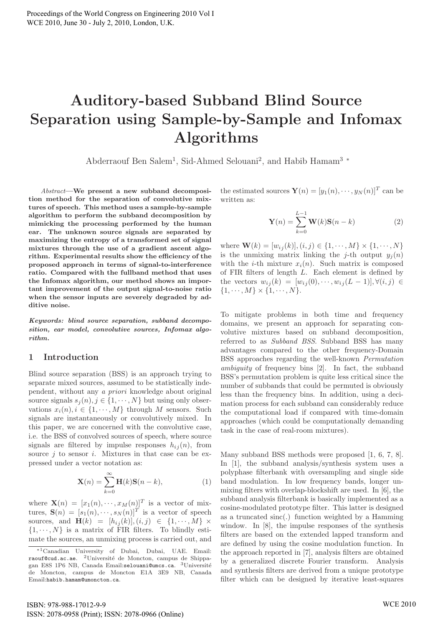# **Auditory-based Subband Blind Source Separation using Sample-by-Sample and Infomax Algorithms**

Abderraouf Ben Salem1, Sid-Ahmed Selouani2, and Habib Hamam<sup>3</sup> <sup>∗</sup>

Abstract**—We present a new subband decomposition method for the separation of convolutive mixtures of speech. This method uses a sample-by-sample algorithm to perform the subband decomposition by mimicking the processing performed by the human ear. The unknown source signals are separated by maximizing the entropy of a transformed set of signal mixtures through the use of a gradient ascent algorithm. Experimental results show the efficiency of the proposed approach in terms of signal-to-interference ratio. Compared with the fullband method that uses the Infomax algorithm, our method shows an important improvement of the output signal-to-noise ratio when the sensor inputs are severely degraded by additive noise.**

*Keywords: blind source separation, subband decomposition, ear model, convolutive sources, Infomax algorithm.*

#### **1 Introduction**

Blind source separation (BSS) is an approach trying to separate mixed sources, assumed to be statistically independent, without any a priori knowledge about original source signals  $s_i(n), j \in \{1, \cdots, N\}$  but using only observations  $x_i(n), i \in \{1, \dots, M\}$  through M sensors. Such signals are instantaneously or convolutively mixed. In this paper, we are concerned with the convolutive case, i.e. the BSS of convolved sources of speech, where source signals are filtered by impulse responses  $h_{i,j}(n)$ , from source  $j$  to sensor  $i$ . Mixtures in that case can be expressed under a vector notation as:

$$
\mathbf{X}(n) = \sum_{k=0}^{\infty} \mathbf{H}(k)\mathbf{S}(n-k),\tag{1}
$$

where  $\mathbf{X}(n)=[x_1(n), \cdots, x_M(n)]^T$  is a vector of mix-<br>tures  $\mathbf{S}(n)=[s_1(n), \cdots, s_M(n)]^T$  is a vector of speech tures,  $\mathbf{S}(n)=[s_1(n), \cdots, s_N(n)]^T$  is a vector of speech<br>sources and  $\mathbf{H}(k)=[h_{\cdots}(k)]$  (*i*, *i*)  $\in$  {1, ... M \x sources, and  $\mathbf{H}(k)=[h_{ij}(k)],(i,j) \in \{1,\cdots,M\} \times$  $\{1, \dots, N\}$  is a matrix of FIR filters. To blindly estimate the sources, an unmixing process is carried out, and the estimated sources  $\mathbf{Y}(n)=[y_1(n), \cdots, y_N(n)]^T$  can be written as:

$$
\mathbf{Y}(n) = \sum_{k=0}^{L-1} \mathbf{W}(k)\mathbf{S}(n-k)
$$
 (2)

where  $\mathbf{W}(k)=[w_{i,j}(k)],(i,j) \in \{1, \cdots, M\} \times \{1, \cdots, N\}$ is the unmixing matrix linking the j-th output  $y_i(n)$ with the *i*-th mixture  $x_i(n)$ . Such matrix is composed of FIR filters of length  $L$ . Each element is defined by the vectors  $w_{ij}(k)=[w_{ij} (0), \cdots, w_{ij} (L-1)], \forall (i, j) \in$  $\{1, \cdots, M\} \times \{1, \cdots, N\}.$ 

To mitigate problems in both time and frequency domains, we present an approach for separating convolutive mixtures based on subband decomposition, referred to as Subband BSS. Subband BSS has many advantages compared to the other frequency-Domain BSS approaches regarding the well-known Permutation ambiguity of frequency bins [2]. In fact, the subband BSS's permutation problem is quite less critical since the number of subbands that could be permuted is obviously less than the frequency bins. In addition, using a decimation process for each subband can considerably reduce the computational load if compared with time-domain approaches (which could be computationally demanding task in the case of real-room mixtures).

Many subband BSS methods were proposed [1, 6, 7, 8]. In [1], the subband analysis/synthesis system uses a polyphase filterbank with oversampling and single side band modulation. In low frequency bands, longer unmixing filters with overlap-blockshift are used. In [6], the subband analysis filterbank is basically implemented as a cosine-modulated prototype filter. This latter is designed as a truncated sinc(.) function weighted by a Hamming window. In [8], the impulse responses of the synthesis filters are based on the extended lapped transform and are defined by using the cosine modulation function. In the approach reported in [7], analysis filters are obtained by a generalized discrete Fourier transform. Analysis and synthesis filters are derived from a unique prototype filter which can be designed by iterative least-squares

<sup>∗</sup>1Canadian University of Dubai, Dubai, UAE. Email: raouf Ccud.ac.ae. <sup>2</sup>Université de Moncton, campus de Shippagan E8S 1P6 NB, Canada Email:selouani@umcs.ca. <sup>3</sup>Université de Moncton, campus de Moncton E1A 3E9 NB, Canada Email:habib.hamam@umoncton.ca.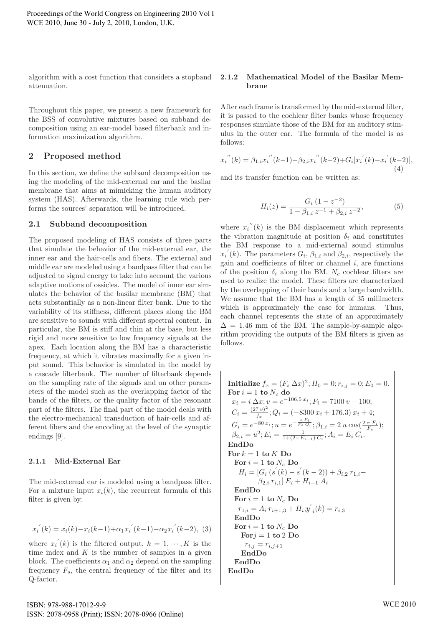algorithm with a cost function that considers a stopband attenuation.

Throughout this paper, we present a new framework for the BSS of convolutive mixtures based on subband decomposition using an ear-model based filterbank and information maximization algorithm.

# **2 Proposed method**

In this section, we define the subband decomposition using the modeling of the mid-external ear and the basilar membrane that aims at mimicking the human auditory system (HAS). Afterwards, the learning rule wich performs the sources' separation will be introduced.

# **2.1 Subband decomposition**

The proposed modeling of HAS consists of three parts that simulate the behavior of the mid-external ear, the inner ear and the hair-cells and fibers. The external and middle ear are modeled using a bandpass filter that can be adjusted to signal energy to take into account the various adaptive motions of ossicles. The model of inner ear simulates the behavior of the basilar membrane (BM) that acts substantially as a non-linear filter bank. Due to the variability of its stiffness, different places along the BM are sensitive to sounds with different spectral content. In particular, the BM is stiff and thin at the base, but less rigid and more sensitive to low frequency signals at the apex. Each location along the BM has a characteristic frequency, at which it vibrates maximally for a given input sound. This behavior is simulated in the model by a cascade filterbank. The number of filterbank depends on the sampling rate of the signals and on other parameters of the model such as the overlapping factor of the bands of the filters, or the quality factor of the resonant part of the filters. The final part of the model deals with the electro-mechanical transduction of hair-cells and afferent fibers and the encoding at the level of the synaptic endings [9].

# **2.1.1 Mid-External Ear**

The mid-external ear is modeled using a bandpass filter. For a mixture input  $x_i(k)$ , the recurrent formula of this filter is given by:

$$
x_i^{'}(k) = x_i(k) - x_i(k-1) + \alpha_1 x_i^{'}(k-1) - \alpha_2 x_i^{'}(k-2),
$$
 (3)

where  $x_i'(k)$  is the filtered output,  $k = 1, \dots, K$  is the time index and K is the number of samples in a given time index and  $K$  is the number of samples in a given block. The coefficients  $\alpha_1$  and  $\alpha_2$  depend on the sampling frequency  $F_s$ , the central frequency of the filter and its Q-factor.

# ISBN: 978-988-17012-9-9 ISSN: 2078-0958 (Print); ISSN: 2078-0966 (Online)

#### **2.1.2 Mathematical Model of the Basilar Membrane**

After each frame is transformed by the mid-external filter, it is passed to the cochlear filter banks whose frequency responses simulate those of the BM for an auditory stimulus in the outer ear. The formula of the model is as follows:

$$
x_i^{'''}(k) = \beta_{1,i} x_i^{'''}(k-1) - \beta_{2,i} x_i^{'''}(k-2) + G_i[x_i^{'}(k) - x_i^{'}(k-2)],
$$
\n(4)

and its transfer function can be written as:

$$
H_i(z) = \frac{G_i (1 - z^{-2})}{1 - \beta_{1,i} z^{-1} + \beta_{2,i} z^{-2}},
$$
(5)

where  $x_i''(k)$  is the BM displacement which represents<br>the vibration magnitude at position  $\delta$  and constitutes the vibration magnitude at position  $\delta_i$  and constitutes the BM response to a mid-external sound stimulus gain and coefficients of filter or channel i, are functions<br>of the position  $\delta_1$  along the BM N, cochlear filters are (k). The parameters  $G_i$ ,  $\beta_{1,i}$  and  $\beta_{2,i}$ , respectively the in and coefficients of filter or channal i are functions of the position  $\delta_i$  along the BM.  $N_c$  cochlear filters are used to realize the model. These filters are characterized by the overlapping of their bands and a large bandwidth. We assume that the BM has a length of 35 millimeters which is approximately the case for humans. Thus, each channel represents the state of an approximately  $\Delta = 1.46$  mm of the BM. The sample-by-sample algorithm providing the outputs of the BM filters is given as follows.

**Initialize**  $f_x = (F_s \Delta x)^2; H_0 = 0; r_{i,j} = 0; E_0 = 0.$ <br>**For**  $i = 1$  **to**  $N_c$  **do**  $\mathbf{F}_{i} = \mathbf{i} \Delta x; v = e^{-106.5 x_i}; F_i = 7100 v - 100;$  $x_i = i \Delta x; v = e^{-106.5 x_i}; F_i = 7100 v - 100;$ <br>  $G = (27 v)^2$  Q (0000 + 172.9)  $C_i = \frac{(27 \, v)^2}{f_x}; Q_i = (-8300 \, x_i + 176.3) \, x_i + 4;$  $G_i = e^{-80 x_i}; u = e^{-\frac{\pi F_i}{F_s Q_i}}; \beta_{1,i} = 2 u \cos(\frac{2 \pi F_i}{F_s});$ <br>  $\beta_{2,i} = u^2 \cdot F_i - \frac{1}{\beta_{2,i}} \cdot A_i - F_i C_i$  $\beta_{2,i} = u^2; E_i = \frac{1}{1 + (2 - E_{i-1}) C_i}; A_i = E_i C_i.$ **EndDo** For  $k = 1$  to  $K$  Do For  $i = 1$  to  $N_c$  Do  $H_i = [G_i (s^{'}(k) - s^{'}(k-2)) + \beta_{i,2} r_{1,i} -$ <br> $G_0 \cdot r_{i,1} E_i + H_{i,1} A_i$  $\beta_{2,i}$   $r_{i,1}$   $E_i + H_{i-1}$   $A_i$ **EndDo** For  $i = 1$  to  $N_c$  Do  $r_{1,i} = A_i r_{i+1,3} + H_i; y^{'}{}_i(k) = r_{i,3}$ **EndDo** For  $i = 1$  to  $N_c$  Do  $\textbf{For } j = 1 \textbf{ to } 2 \textbf{ Do}$  $r_{i,j} = r_{i,j+1}$ **EndDo EndDo EndDo**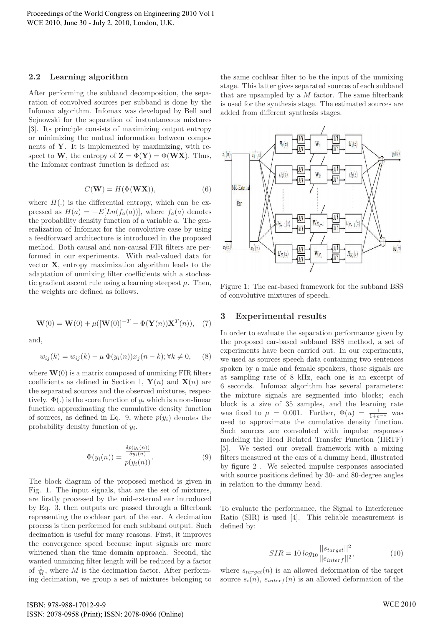#### **2.2 Learning algorithm**

After performing the subband decomposition, the separation of convolved sources per subband is done by the Infomax algorithm. Infomax was developed by Bell and Sejnowski for the separation of instantaneous mixtures [3]. Its principle consists of maximizing output entropy or minimizing the mutual information between components of **Y**. It is implemented by maximizing, with respect to **W**, the entropy of  $\mathbf{Z} = \Phi(\mathbf{Y}) = \Phi(\mathbf{W}\mathbf{X})$ . Thus, the Infomax contrast function is defined as:

$$
C(\mathbf{W}) = H(\Phi(\mathbf{W}\mathbf{X})),\tag{6}
$$

where  $H(.)$  is the differential entropy, which can be expressed as  $H(a) = -E[Ln(f_a(a))]$ , where  $f_a(a)$  denotes the probability density function of a variable  $a$ . The generalization of Infomax for the convolutive case by using a feedforward architecture is introduced in the proposed method. Both causal and non-causal FIR filters are performed in our experiments. With real-valued data for vector **X**, entropy maximization algorithm leads to the adaptation of unmixing filter coefficients with a stochastic gradient ascent rule using a learning steepest  $\mu$ . Then, the weights are defined as follows.

$$
\mathbf{W}(0) = \mathbf{W}(0) + \mu([\mathbf{W}(0)]^{-T} - \Phi(\mathbf{Y}(n))\mathbf{X}^{T}(n)), \quad (7)
$$

and,

$$
w_{ij}(k) = w_{ij}(k) - \mu \Phi(y_i(n)) x_j(n-k); \forall k \neq 0,
$$
 (8)

where  $W(0)$  is a matrix composed of unmixing FIR filters coefficients as defined in Section 1,  $\mathbf{Y}(n)$  and  $\mathbf{X}(n)$  are the separated sources and the observed mixtures, respectively.  $\Phi(.)$  is the score function of  $y_i$  which is a non-linear function approximating the cumulative density function of sources, as defined in Eq. 9, where  $p(y_i)$  denotes the probability density function of  $y_i$ .

$$
\Phi(y_i(n)) = \frac{\frac{\delta p(y_i(n))}{\delta y_i(n)}}{p(y_i(n))}.
$$
\n(9)

The block diagram of the proposed method is given in Fig. 1. The input signals, that are the set of mixtures, are firstly processed by the mid-external ear introduced by Eq. 3, then outputs are passed through a filterbank representing the cochlear part of the ear. A decimation process is then performed for each subband output. Such decimation is useful for many reasons. First, it improves the convergence speed because input signals are more whitened than the time domain approach. Second, the wanted unmixing filter length will be reduced by a factor of  $\frac{1}{M}$ , where M is the decimation factor. After perform-<br>ing decimation, we group a set of mixtures belonging to ing decimation, we group a set of mixtures belonging to

the same cochlear filter to be the input of the unmixing stage. This latter gives separated sources of each subband that are upsampled by a  $M$  factor. The same filterbank is used for the synthesis stage. The estimated sources are added from different synthesis stages.



Figure 1: The ear-based framework for the subband BSS of convolutive mixtures of speech.

#### **3 Experimental results**

In order to evaluate the separation performance given by the proposed ear-based subband BSS method, a set of experiments have been carried out. In our experiments, we used as sources speech data containing two sentences spoken by a male and female speakers, those signals are at sampling rate of 8 kHz, each one is an excerpt of 6 seconds. Infomax algorithm has several parameters: the mixture signals are segmented into blocks; each block is a size of 35 samples, and the learning rate was fixed to  $\mu = 0.001$ . Further,  $\Phi(u) = \frac{1}{1+e^{-u}}$  was used to approximate the cumulative density function. Such sources are convoluted with impulse responses modeling the Head Related Transfer Function (HRTF) [5]. We tested our overall framework with a mixing filters measured at the ears of a dummy head, illustrated by figure 2 . We selected impulse responses associated with source positions defined by 30- and 80-degree angles in relation to the dummy head.

To evaluate the performance, the Signal to Interference Ratio (SIR) is used [4]. This reliable measurement is defined by:

$$
SIR = 10 \log_{10} \frac{||s_{target}||^2}{||e_{interf}||^2},
$$
\n(10)

where  $s_{target}(n)$  is an allowed deformation of the target<br>source  $s_1(n)$ ,  $e_1, \ldots, (n)$  is an allowed deformation of the source  $s_i(n)$ ,  $e_{interf}(n)$  is an allowed deformation of the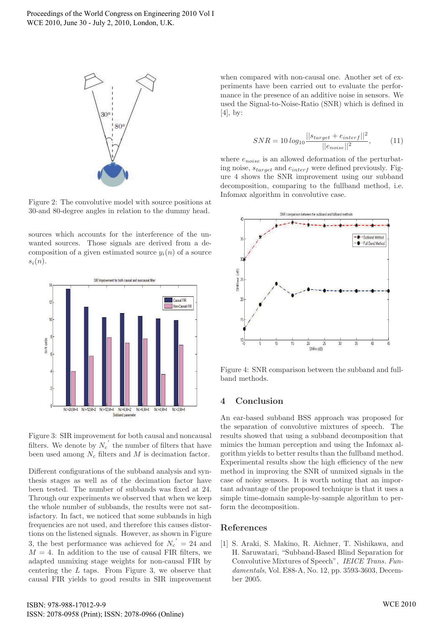

Figure 2: The convolutive model with source positions at 30-and 80-degree angles in relation to the dummy head.

sources which accounts for the interference of the unwanted sources. Those signals are derived from a decomposition of a given estimated source  $y_i(n)$  of a source  $s_i(n)$ .



Figure 3: SIR improvement for both causal and noncausal filters. We denote by  $N_c^{\prime}$  the number of filters that have<br>been used among N, filters and M is decimation factor. been used among  $N_c$  filters and M is decimation factor.

Different configurations of the subband analysis and synthesis stages as well as of the decimation factor have been tested. The number of subbands was fixed at 24. Through our experiments we observed that when we keep the whole number of subbands, the results were not satisfactory. In fact, we noticed that some subbands in high frequencies are not used, and therefore this causes distortions on the listened signals. However, as shown in Figure 3, the best performance was achieved for  $N_c' = 24$  and  $M - 4$ . In addition to the use of causal FIR filters, we  $M = 4$ . In addition to the use of causal FIR filters, we adapted unmixing stage weights for non-causal FIR by centering the  $L$  taps. From Figure 3, we observe that causal FIR yields to good results in SIR improvement

when compared with non-causal one. Another set of experiments have been carried out to evaluate the performance in the presence of an additive noise in sensors. We used the Signal-to-Noise-Ratio (SNR) which is defined in [4], by:

$$
SNR = 10 \log_{10} \frac{||s_{target} + e_{interf}||^2}{||e_{noise}||^2},
$$
 (11)

where  $e_{noise}$  is an allowed deformation of the perturbating noise,  $s_{target}$  and  $e_{interf}$  were defined previously. Figure 4 shows the SNR improvement using our subband decomposition, comparing to the fullband method, i.e. Infomax algorithm in convolutive case.



Figure 4: SNR comparison between the subband and fullband methods.

# **4 Conclusion**

An ear-based subband BSS approach was proposed for the separation of convolutive mixtures of speech. The results showed that using a subband decomposition that mimics the human perception and using the Infomax algorithm yields to better results than the fullband method. Experimental results show the high efficiency of the new method in improving the SNR of unmixed signals in the case of noisy sensors. It is worth noting that an important advantage of the proposed technique is that it uses a simple time-domain sample-by-sample algorithm to perform the decomposition.

#### **References**

[1] S. Araki, S. Makino, R. Aichner, T. Nishikawa, and H. Saruwatari, "Subband-Based Blind Separation for Convolutive Mixtures of Speech", IEICE Trans. Fundamentals, Vol. E88-A, No. 12, pp. 3593-3603, December 2005.